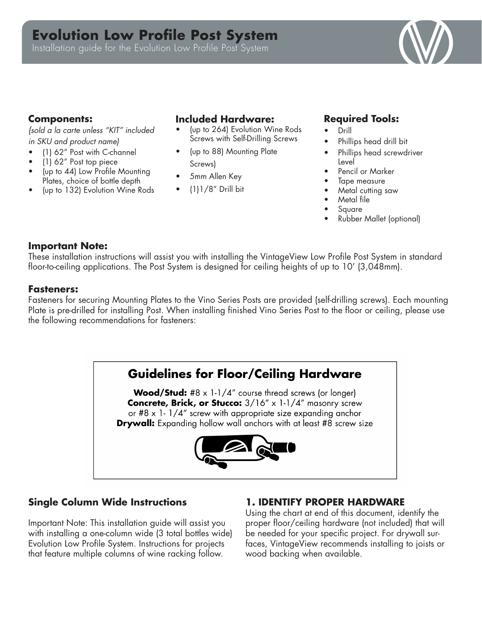# **Evolution Low Profile Post System**

Installation guide for the Evolution Low Profile Post System



#### **Components:**

*(sold a la carte unless "KIT" included in SKU and product name)*

- (1) 62" Post with C-channel
- (1) 62" Post top piece
- (up to 44) Low Profile Mounting Plates, choice of bottle depth
- (up to 132) Evolution Wine Rods

#### **Included Hardware:**

- (up to 264) Evolution Wine Rods Screws with Self-Drilling Screws
- (up to 88) Mounting Plate
- Screws)
- 5mm Allen Key
- (1)1/8" Drill bit

## **Required Tools:**

- Drill
- Phillips head drill bit
- Phillips head screwdriver Level
- Pencil or Marker
- Tape measure
- Metal cutting saw
- Metal file
- **Square**
- Rubber Mallet (optional)

#### **Important Note:**

These installation instructions will assist you with installing the VintageView Low Profile Post System in standard floor-to-ceiling applications. The Post System is designed for ceiling heights of up to 10' (3,048mm).

#### **Fasteners:**

Fasteners for securing Mounting Plates to the Vino Series Posts are provided (self-drilling screws). Each mounting Plate is pre-drilled for installing Post. When installing finished Vino Series Post to the floor or ceiling, please use the following recommendations for fasteners:

# **Guidelines for Floor/Ceiling Hardware**

**Wood/Stud:** #8  $\times$  1-1/4" course thread screws (or longer) Concrete, Brick, or Stucco: 3/16" x 1-1/4" masonry screw or #8  $\times$  1-1/4" screw with appropriate size expanding anchor **Drywall:** Expanding hollow wall anchors with at least #8 screw size



# **Single Column Wide Instructions**

Important Note: This installation guide will assist you with installing a one-column wide (3 total bottles wide) Evolution Low Profile System. Instructions for projects that feature multiple columns of wine racking follow.

## **1. IDENTIFY PROPER HARDWARE**

Using the chart at end of this document, identify the proper floor/ceiling hardware (not included) that will be needed for your specific project. For drywall surfaces, VintageView recommends installing to joists or wood backing when available.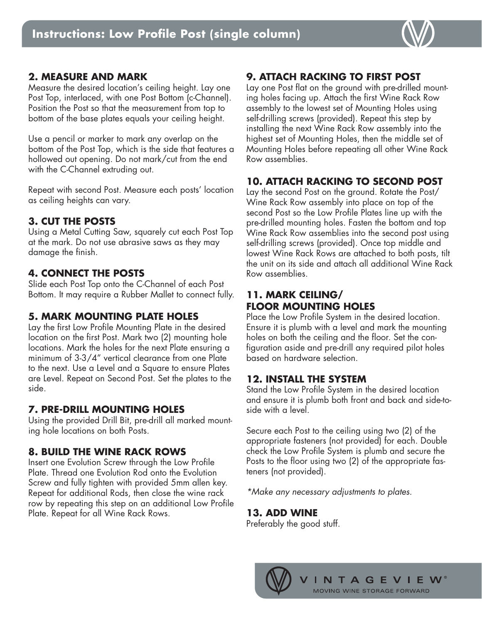

### **2. MEASURE AND MARK**

Measure the desired location's ceiling height. Lay one Post Top, interlaced, with one Post Bottom (c-Channel). Position the Post so that the measurement from top to bottom of the base plates equals your ceiling height.

Use a pencil or marker to mark any overlap on the bottom of the Post Top, which is the side that features a hollowed out opening. Do not mark/cut from the end with the C-Channel extruding out.

Repeat with second Post. Measure each posts' location as ceiling heights can vary.

## **3. CUT THE POSTS**

Using a Metal Cutting Saw, squarely cut each Post Top at the mark. Do not use abrasive saws as they may damage the finish.

## **4. CONNECT THE POSTS**

Slide each Post Top onto the C-Channel of each Post Bottom. It may require a Rubber Mallet to connect fully.

## **5. MARK MOUNTING PLATE HOLES**

Lay the first Low Profile Mounting Plate in the desired location on the first Post. Mark two (2) mounting hole locations. Mark the holes for the next Plate ensuring a minimum of 3-3/4" vertical clearance from one Plate to the next. Use a Level and a Square to ensure Plates are Level. Repeat on Second Post. Set the plates to the side.

## **7. PRE-DRILL MOUNTING HOLES**

Using the provided Drill Bit, pre-drill all marked mounting hole locations on both Posts.

## **8. BUILD THE WINE RACK ROWS**

Insert one Evolution Screw through the Low Profile Plate. Thread one Evolution Rod onto the Evolution Screw and fully tighten with provided 5mm allen key. Repeat for additional Rods, then close the wine rack row by repeating this step on an additional Low Profile Plate. Repeat for all Wine Rack Rows.

# **9. ATTACH RACKING TO FIRST POST**

Lay one Post flat on the ground with pre-drilled mounting holes facing up. Attach the first Wine Rack Row assembly to the lowest set of Mounting Holes using self-drilling screws (provided). Repeat this step by installing the next Wine Rack Row assembly into the highest set of Mounting Holes, then the middle set of Mounting Holes before repeating all other Wine Rack Row assemblies.

# **10. ATTACH RACKING TO SECOND POST**

Lay the second Post on the ground. Rotate the Post/ Wine Rack Row assembly into place on top of the second Post so the Low Profile Plates line up with the pre-drilled mounting holes. Fasten the bottom and top Wine Rack Row assemblies into the second post using self-drilling screws (provided). Once top middle and lowest Wine Rack Rows are attached to both posts, tilt the unit on its side and attach all additional Wine Rack Row assemblies.

## **11. MARK CEILING/ FLOOR MOUNTING HOLES**

Place the Low Profile System in the desired location. Ensure it is plumb with a level and mark the mounting holes on both the ceiling and the floor. Set the configuration aside and pre-drill any required pilot holes based on hardware selection.

## **12. INSTALL THE SYSTEM**

Stand the Low Profile System in the desired location and ensure it is plumb both front and back and side-toside with a level.

Secure each Post to the ceiling using two (2) of the appropriate fasteners (not provided) for each. Double check the Low Profile System is plumb and secure the Posts to the floor using two (2) of the appropriate fasteners (not provided).

*\*Make any necessary adjustments to plates.* 

## **13. ADD WINE**

Preferably the good stuff.

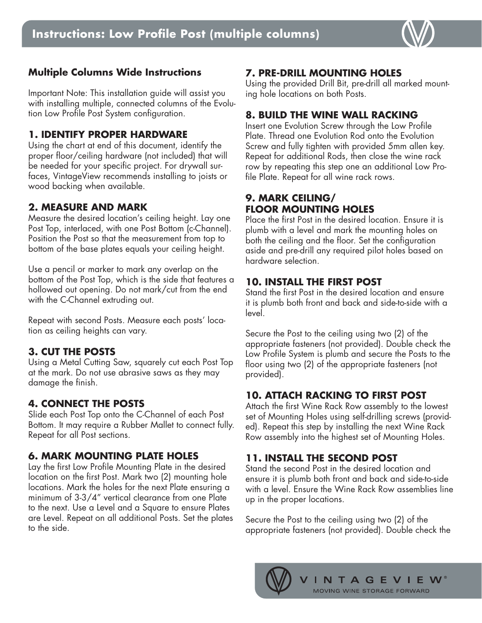

## **Multiple Columns Wide Instructions**

Important Note: This installation guide will assist you with installing multiple, connected columns of the Evolution Low Profile Post System configuration.

#### **1. IDENTIFY PROPER HARDWARE**

Using the chart at end of this document, identify the proper floor/ceiling hardware (not included) that will be needed for your specific project. For drywall surfaces, VintageView recommends installing to joists or wood backing when available.

#### **2. MEASURE AND MARK**

Measure the desired location's ceiling height. Lay one Post Top, interlaced, with one Post Bottom (c-Channel). Position the Post so that the measurement from top to bottom of the base plates equals your ceiling height.

Use a pencil or marker to mark any overlap on the bottom of the Post Top, which is the side that features a hollowed out opening. Do not mark/cut from the end with the C-Channel extruding out.

Repeat with second Posts. Measure each posts' location as ceiling heights can vary.

## **3. CUT THE POSTS**

Using a Metal Cutting Saw, squarely cut each Post Top at the mark. Do not use abrasive saws as they may damage the finish.

#### **4. CONNECT THE POSTS**

Slide each Post Top onto the C-Channel of each Post Bottom. It may require a Rubber Mallet to connect fully. Repeat for all Post sections.

## **6. MARK MOUNTING PLATE HOLES**

Lay the first Low Profile Mounting Plate in the desired location on the first Post. Mark two (2) mounting hole locations. Mark the holes for the next Plate ensuring a minimum of 3-3/4" vertical clearance from one Plate to the next. Use a Level and a Square to ensure Plates are Level. Repeat on all additional Posts. Set the plates to the side.

# **7. PRE-DRILL MOUNTING HOLES**

Using the provided Drill Bit, pre-drill all marked mounting hole locations on both Posts.

## **8. BUILD THE WINE WALL RACKING**

Insert one Evolution Screw through the Low Profile Plate. Thread one Evolution Rod onto the Evolution Screw and fully tighten with provided 5mm allen key. Repeat for additional Rods, then close the wine rack row by repeating this step one an additional Low Profile Plate. Repeat for all wine rack rows.

# **9. MARK CEILING/ FLOOR MOUNTING HOLES**

Place the first Post in the desired location. Ensure it is plumb with a level and mark the mounting holes on both the ceiling and the floor. Set the configuration aside and pre-drill any required pilot holes based on hardware selection.

# **10. INSTALL THE FIRST POST**

Stand the first Post in the desired location and ensure it is plumb both front and back and side-to-side with a level.

Secure the Post to the ceiling using two (2) of the appropriate fasteners (not provided). Double check the Low Profile System is plumb and secure the Posts to the floor using two (2) of the appropriate fasteners (not provided).

# **10. ATTACH RACKING TO FIRST POST**

Attach the first Wine Rack Row assembly to the lowest set of Mounting Holes using self-drilling screws (provided). Repeat this step by installing the next Wine Rack Row assembly into the highest set of Mounting Holes.

# **11. INSTALL THE SECOND POST**

Stand the second Post in the desired location and ensure it is plumb both front and back and side-to-side with a level. Ensure the Wine Rack Row assemblies line up in the proper locations.

Secure the Post to the ceiling using two (2) of the appropriate fasteners (not provided). Double check the